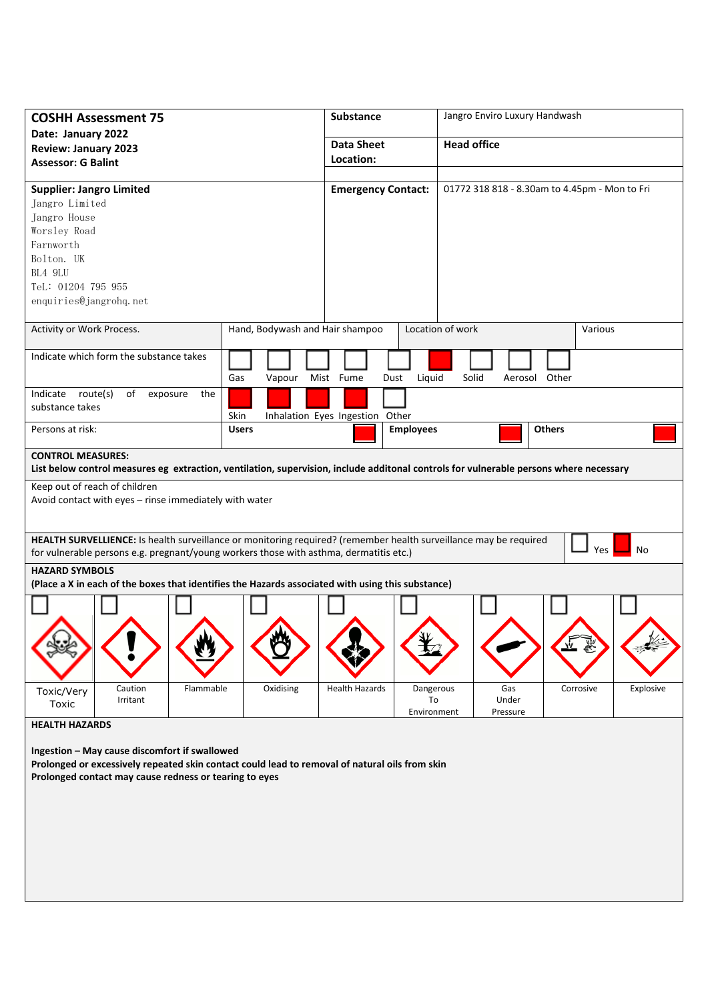| <b>COSHH Assessment 75</b>                                                                                                                                                                                               |                                 | Substance                       |                                | Jangro Enviro Luxury Handwash                 |               |           |  |
|--------------------------------------------------------------------------------------------------------------------------------------------------------------------------------------------------------------------------|---------------------------------|---------------------------------|--------------------------------|-----------------------------------------------|---------------|-----------|--|
| Date: January 2022<br><b>Review: January 2023</b>                                                                                                                                                                        |                                 | <b>Data Sheet</b>               |                                | <b>Head office</b>                            |               |           |  |
| <b>Assessor: G Balint</b>                                                                                                                                                                                                |                                 | Location:                       |                                |                                               |               |           |  |
| <b>Supplier: Jangro Limited</b><br>Jangro Limited                                                                                                                                                                        |                                 | <b>Emergency Contact:</b>       |                                | 01772 318 818 - 8.30am to 4.45pm - Mon to Fri |               |           |  |
| Jangro House                                                                                                                                                                                                             |                                 |                                 |                                |                                               |               |           |  |
| Worsley Road<br>Farnworth                                                                                                                                                                                                |                                 |                                 |                                |                                               |               |           |  |
| Bolton. UK                                                                                                                                                                                                               |                                 |                                 |                                |                                               |               |           |  |
| BL4 9LU                                                                                                                                                                                                                  |                                 |                                 |                                |                                               |               |           |  |
| TeL: 01204 795 955                                                                                                                                                                                                       |                                 |                                 |                                |                                               |               |           |  |
| enquiries@jangrohq.net                                                                                                                                                                                                   |                                 |                                 |                                |                                               |               |           |  |
| Activity or Work Process.                                                                                                                                                                                                | Hand, Bodywash and Hair shampoo |                                 |                                | Location of work                              | Various       |           |  |
|                                                                                                                                                                                                                          |                                 |                                 |                                |                                               |               |           |  |
| Indicate which form the substance takes                                                                                                                                                                                  |                                 |                                 |                                |                                               |               |           |  |
|                                                                                                                                                                                                                          | Gas<br>Vapour                   | Mist Fume<br>Dust               | Liquid                         | Solid<br>Aerosol                              | Other         |           |  |
| Indicate route(s)<br>of<br>the<br>exposure<br>substance takes                                                                                                                                                            |                                 |                                 |                                |                                               |               |           |  |
|                                                                                                                                                                                                                          | Skin                            | Inhalation Eyes Ingestion Other |                                |                                               |               |           |  |
| Persons at risk:                                                                                                                                                                                                         | <b>Users</b>                    |                                 | <b>Employees</b>               |                                               | <b>Others</b> |           |  |
| <b>CONTROL MEASURES:</b><br>List below control measures eg extraction, ventilation, supervision, include additonal controls for vulnerable persons where necessary                                                       |                                 |                                 |                                |                                               |               |           |  |
| Keep out of reach of children<br>Avoid contact with eyes - rinse immediately with water                                                                                                                                  |                                 |                                 |                                |                                               |               |           |  |
| HEALTH SURVELLIENCE: Is health surveillance or monitoring required? (remember health surveillance may be required<br>Yes<br>No<br>for vulnerable persons e.g. pregnant/young workers those with asthma, dermatitis etc.) |                                 |                                 |                                |                                               |               |           |  |
| <b>HAZARD SYMBOLS</b><br>(Place a X in each of the boxes that identifies the Hazards associated with using this substance)                                                                                               |                                 |                                 |                                |                                               |               |           |  |
|                                                                                                                                                                                                                          |                                 |                                 |                                |                                               |               |           |  |
|                                                                                                                                                                                                                          |                                 |                                 |                                |                                               |               |           |  |
| Caution<br>Flammable<br>Toxic/Very<br>Irritant<br>Toxic                                                                                                                                                                  | Oxidising                       | <b>Health Hazards</b>           | Dangerous<br>To<br>Environment | Gas<br>Under<br>Pressure                      | Corrosive     | Explosive |  |
| <b>HEALTH HAZARDS</b>                                                                                                                                                                                                    |                                 |                                 |                                |                                               |               |           |  |
| Ingestion - May cause discomfort if swallowed<br>Prolonged or excessively repeated skin contact could lead to removal of natural oils from skin<br>Prolonged contact may cause redness or tearing to eyes                |                                 |                                 |                                |                                               |               |           |  |
|                                                                                                                                                                                                                          |                                 |                                 |                                |                                               |               |           |  |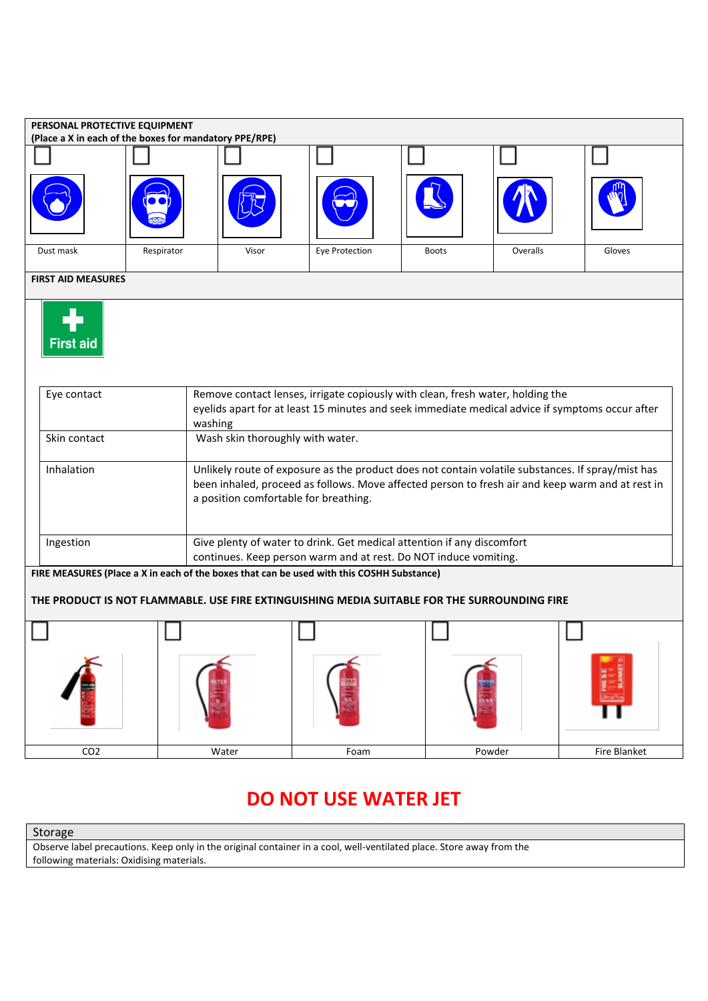| PERSONAL PROTECTIVE EQUIPMENT<br>(Place a X in each of the boxes for mandatory PPE/RPE)                                                                       |                                                                                                                                                                                              |                                                                                                                                                                                                                                                |                |              |          |              |
|---------------------------------------------------------------------------------------------------------------------------------------------------------------|----------------------------------------------------------------------------------------------------------------------------------------------------------------------------------------------|------------------------------------------------------------------------------------------------------------------------------------------------------------------------------------------------------------------------------------------------|----------------|--------------|----------|--------------|
|                                                                                                                                                               |                                                                                                                                                                                              |                                                                                                                                                                                                                                                |                |              |          |              |
|                                                                                                                                                               |                                                                                                                                                                                              |                                                                                                                                                                                                                                                |                |              |          |              |
| Dust mask                                                                                                                                                     | Respirator                                                                                                                                                                                   | Visor                                                                                                                                                                                                                                          | Eye Protection | <b>Boots</b> | Overalls | Gloves       |
| <b>FIRST AID MEASURES</b>                                                                                                                                     |                                                                                                                                                                                              |                                                                                                                                                                                                                                                |                |              |          |              |
| <b>First aid</b>                                                                                                                                              |                                                                                                                                                                                              |                                                                                                                                                                                                                                                |                |              |          |              |
| Eye contact                                                                                                                                                   | Remove contact lenses, irrigate copiously with clean, fresh water, holding the<br>eyelids apart for at least 15 minutes and seek immediate medical advice if symptoms occur after<br>washing |                                                                                                                                                                                                                                                |                |              |          |              |
| Skin contact                                                                                                                                                  |                                                                                                                                                                                              | Wash skin thoroughly with water.                                                                                                                                                                                                               |                |              |          |              |
| Inhalation                                                                                                                                                    |                                                                                                                                                                                              | Unlikely route of exposure as the product does not contain volatile substances. If spray/mist has<br>been inhaled, proceed as follows. Move affected person to fresh air and keep warm and at rest in<br>a position comfortable for breathing. |                |              |          |              |
| Ingestion                                                                                                                                                     | Give plenty of water to drink. Get medical attention if any discomfort                                                                                                                       |                                                                                                                                                                                                                                                |                |              |          |              |
| continues. Keep person warm and at rest. Do NOT induce vomiting.<br>FIRE MEASURES (Place a X in each of the boxes that can be used with this COSHH Substance) |                                                                                                                                                                                              |                                                                                                                                                                                                                                                |                |              |          |              |
| THE PRODUCT IS NOT FLAMMABLE. USE FIRE EXTINGUISHING MEDIA SUITABLE FOR THE SURROUNDING FIRE                                                                  |                                                                                                                                                                                              |                                                                                                                                                                                                                                                |                |              |          |              |
|                                                                                                                                                               |                                                                                                                                                                                              |                                                                                                                                                                                                                                                |                |              |          |              |
|                                                                                                                                                               |                                                                                                                                                                                              |                                                                                                                                                                                                                                                |                |              |          |              |
| CO <sub>2</sub>                                                                                                                                               |                                                                                                                                                                                              | Water                                                                                                                                                                                                                                          | Foam           |              | Powder   | Fire Blanket |

## **DO NOT USE WATER JET**

Storage

Observe label precautions. Keep only in the original container in a cool, well-ventilated place. Store away from the following materials: Oxidising materials.